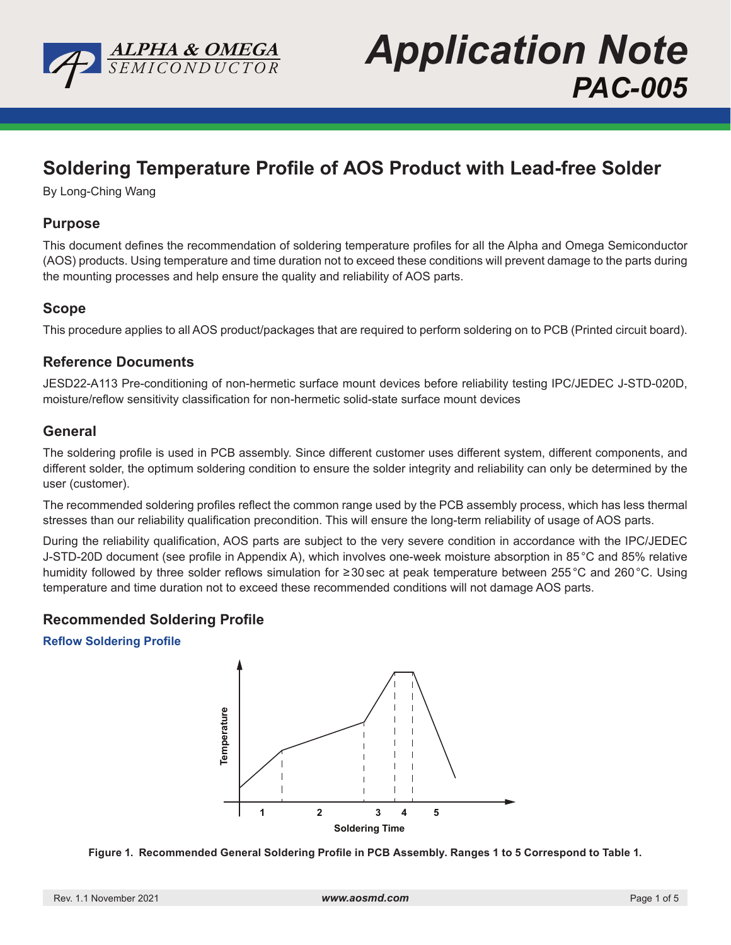

**Application Note** *PAC-005*

# **Soldering Temperature Profile of AOS Product with Lead-free Solder**

By Long-Ching Wang

## **Purpose**

This document defines the recommendation of soldering temperature profiles for all the Alpha and Omega Semiconductor (AOS) products. Using temperature and time duration not to exceed these conditions will prevent damage to the parts during the mounting processes and help ensure the quality and reliability of AOS parts.

## **Scope**

This procedure applies to all AOS product/packages that are required to perform soldering on to PCB (Printed circuit board).

## **Reference Documents**

JESD22-A113 Pre-conditioning of non-hermetic surface mount devices before reliability testing IPC/JEDEC J-STD-020D, moisture/reflow sensitivity classification for non-hermetic solid-state surface mount devices

## **General**

The soldering profile is used in PCB assembly. Since different customer uses different system, different components, and different solder, the optimum soldering condition to ensure the solder integrity and reliability can only be determined by the user (customer).

The recommended soldering profiles reflect the common range used by the PCB assembly process, which has less thermal stresses than our reliability qualification precondition. This will ensure the long-term reliability of usage of AOS parts.

During the reliability qualification, AOS parts are subject to the very severe condition in accordance with the IPC/JEDEC J-STD-20D document (see profile in Appendix A), which involves one-week moisture absorption in 85°C and 85% relative humidity followed by three solder reflows simulation for ≥30sec at peak temperature between 255°C and 260°C. Using temperature and time duration not to exceed these recommended conditions will not damage AOS parts.

## **Recommended Soldering Profile**

### **Reflow Soldering Profile**



**Figure 1. Recommended General Soldering Profile in PCB Assembly. Ranges 1 to 5 Correspond to Table 1.**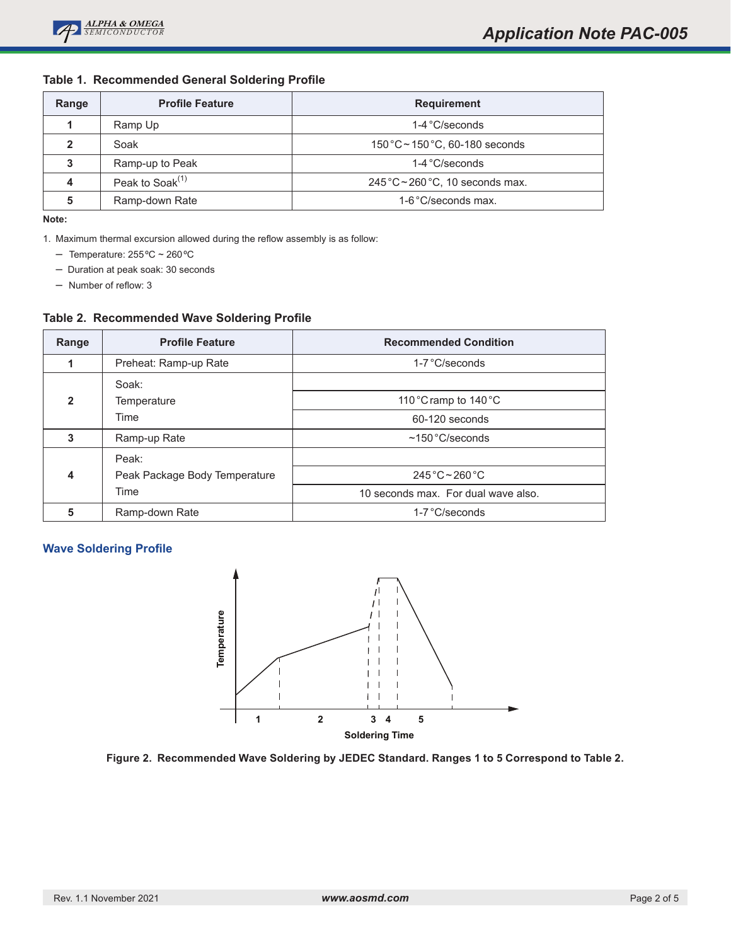#### **Table 1. Recommended General Soldering Profile**

| Range | <b>Profile Feature</b> | <b>Requirement</b>                                |
|-------|------------------------|---------------------------------------------------|
|       | Ramp Up                | $1-4$ °C/seconds                                  |
| 2     | Soak                   | $150\degree C \sim 150\degree C$ , 60-180 seconds |
| 3     | Ramp-up to Peak        | $1-4$ °C/seconds                                  |
| 4     | Peak to Soak $(1)$     | $245^{\circ}$ C ~ 260 °C, 10 seconds max.         |
| 5     | Ramp-down Rate         | 1-6°C/seconds max.                                |

**Note:**

1. Maximum thermal excursion allowed during the reflow assembly is as follow:

- Temperature: 255ºC ~ 260ºC
- Duration at peak soak: 30 seconds

– Number of reflow: 3

### **Table 2. Recommended Wave Soldering Profile**

| Range          | <b>Profile Feature</b>        | <b>Recommended Condition</b>           |  |
|----------------|-------------------------------|----------------------------------------|--|
|                | Preheat: Ramp-up Rate         | $1-7$ °C/seconds                       |  |
|                | Soak:                         |                                        |  |
| $\overline{2}$ | Temperature                   | 110 $\degree$ Cramp to 140 $\degree$ C |  |
|                | Time                          | 60-120 seconds                         |  |
| 3              | Ramp-up Rate                  | $~150\degree$ C/seconds                |  |
|                | Peak:                         |                                        |  |
| 4              | Peak Package Body Temperature | $245^{\circ}$ C ~ 260 °C               |  |
|                | Time                          | 10 seconds max. For dual wave also.    |  |
| 5              | Ramp-down Rate                | $1-7$ °C/seconds                       |  |

#### **Wave Soldering Profile**



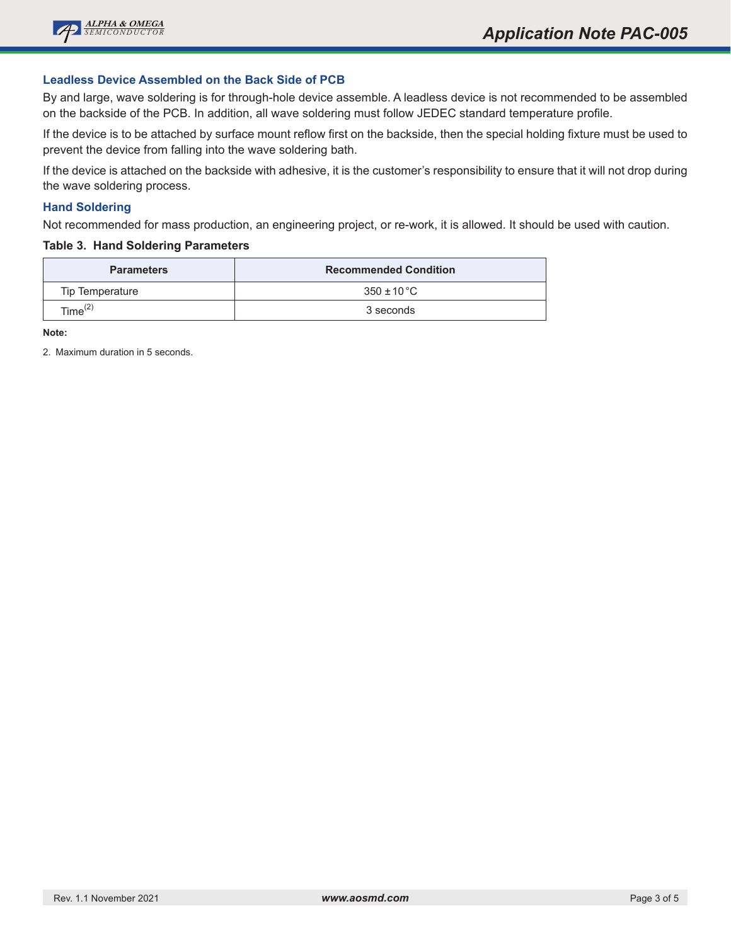

#### **Leadless Device Assembled on the Back Side of PCB**

By and large, wave soldering is for through-hole device assemble. A leadless device is not recommended to be assembled on the backside of the PCB. In addition, all wave soldering must follow JEDEC standard temperature profile.

If the device is to be attached by surface mount reflow first on the backside, then the special holding fixture must be used to prevent the device from falling into the wave soldering bath.

If the device is attached on the backside with adhesive, it is the customer's responsibility to ensure that it will not drop during the wave soldering process.

#### **Hand Soldering**

Not recommended for mass production, an engineering project, or re-work, it is allowed. It should be used with caution.

#### **Table 3. Hand Soldering Parameters**

| <b>Parameters</b> | <b>Recommended Condition</b> |
|-------------------|------------------------------|
| Tip Temperature   | $350 \pm 10^{\circ}$ C       |
| Time $^{(2)}$     | 3 seconds                    |

**Note:**

2. Maximum duration in 5 seconds.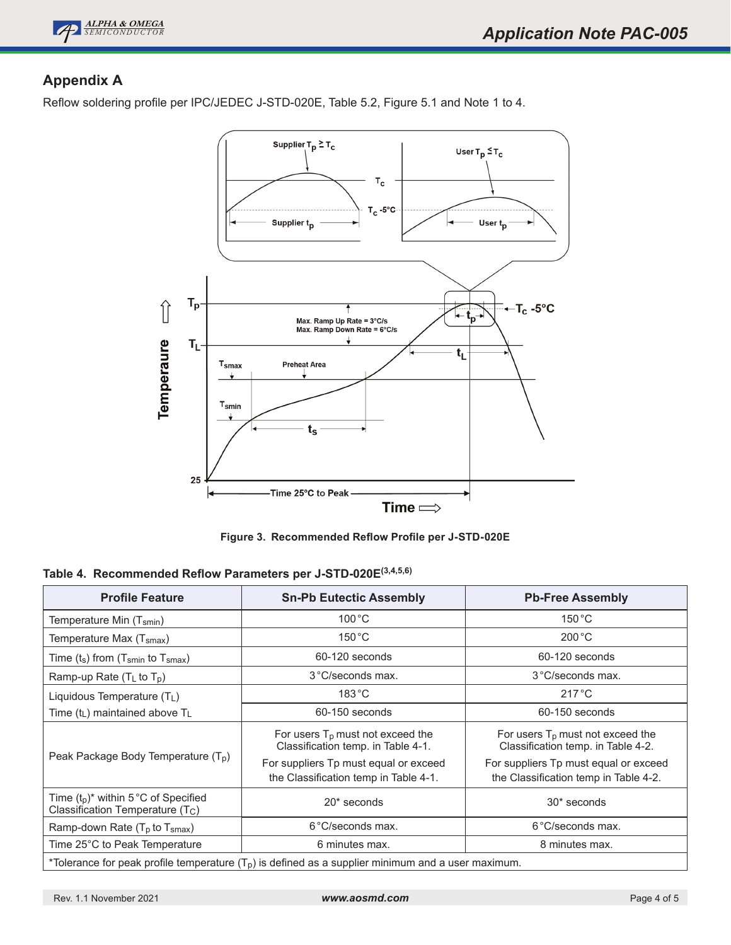

# **Appendix A**

Reflow soldering profile per IPC/JEDEC J-STD-020E, Table 5.2, Figure 5.1 and Note 1 to 4.



**Figure 3. Recommended Reflow Profile per J-STD-020E**

|  | Table 4. Recommended Reflow Parameters per J-STD-020E <sup>(3,4,5,6)</sup> |  |  |  |  |  |
|--|----------------------------------------------------------------------------|--|--|--|--|--|
|--|----------------------------------------------------------------------------|--|--|--|--|--|

| <b>Profile Feature</b>                                                                              | <b>Sn-Pb Eutectic Assembly</b>                                                                                                                                                                                                                                                                                             | <b>Pb-Free Assembly</b> |  |  |  |
|-----------------------------------------------------------------------------------------------------|----------------------------------------------------------------------------------------------------------------------------------------------------------------------------------------------------------------------------------------------------------------------------------------------------------------------------|-------------------------|--|--|--|
| Temperature Min (T <sub>smin</sub> )                                                                | $100^{\circ}$ C                                                                                                                                                                                                                                                                                                            | $150^{\circ}$ C         |  |  |  |
| Temperature Max (T <sub>smax</sub> )                                                                | $150^{\circ}$ C                                                                                                                                                                                                                                                                                                            | $200^{\circ}$ C         |  |  |  |
| Time $(t_s)$ from (T <sub>smin</sub> to T <sub>smax</sub> )                                         | 60-120 seconds                                                                                                                                                                                                                                                                                                             | 60-120 seconds          |  |  |  |
| Ramp-up Rate $(T_L$ to $T_p)$                                                                       | 3°C/seconds max.                                                                                                                                                                                                                                                                                                           | 3°C/seconds max.        |  |  |  |
| Liquidous Temperature (T <sub>L</sub> )                                                             | $183^{\circ}$ C                                                                                                                                                                                                                                                                                                            | $217^{\circ}$ C         |  |  |  |
| Time (t <sub>L</sub> ) maintained above T <sub>L</sub>                                              | 60-150 seconds<br>60-150 seconds                                                                                                                                                                                                                                                                                           |                         |  |  |  |
| Peak Package Body Temperature (T <sub>p</sub> )                                                     | For users $T_p$ must not exceed the<br>For users $T_p$ must not exceed the<br>Classification temp. in Table 4-1.<br>Classification temp. in Table 4-2.<br>For suppliers Tp must equal or exceed<br>For suppliers Tp must equal or exceed<br>the Classification temp in Table 4-1.<br>the Classification temp in Table 4-2. |                         |  |  |  |
| Time $(t_p)^*$ within 5°C of Specified<br>Classification Temperature $(T_C)$                        | $20*$ seconds                                                                                                                                                                                                                                                                                                              | 30* seconds             |  |  |  |
| Ramp-down Rate $(T_p$ to $T_{smax}$ )                                                               | 6°C/seconds max.                                                                                                                                                                                                                                                                                                           | 6°C/seconds max.        |  |  |  |
| Time 25°C to Peak Temperature                                                                       | 6 minutes max.                                                                                                                                                                                                                                                                                                             | 8 minutes max.          |  |  |  |
| *Tolerance for peak profile temperature $(TD)$ is defined as a supplier minimum and a user maximum. |                                                                                                                                                                                                                                                                                                                            |                         |  |  |  |